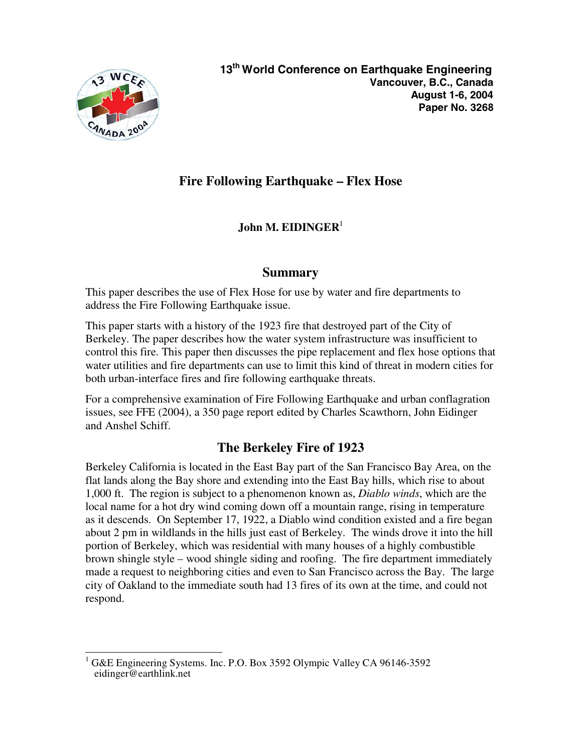

## **Fire Following Earthquake – Flex Hose**

### **John M. EIDINGER**<sup>1</sup>

#### **Summary**

This paper describes the use of Flex Hose for use by water and fire departments to address the Fire Following Earthquake issue.

This paper starts with a history of the 1923 fire that destroyed part of the City of Berkeley. The paper describes how the water system infrastructure was insufficient to control this fire. This paper then discusses the pipe replacement and flex hose options that water utilities and fire departments can use to limit this kind of threat in modern cities for both urban-interface fires and fire following earthquake threats.

For a comprehensive examination of Fire Following Earthquake and urban conflagration issues, see FFE (2004), a 350 page report edited by Charles Scawthorn, John Eidinger and Anshel Schiff.

## **The Berkeley Fire of 1923**

Berkeley California is located in the East Bay part of the San Francisco Bay Area, on the flat lands along the Bay shore and extending into the East Bay hills, which rise to about 1,000 ft. The region is subject to a phenomenon known as, *Diablo winds*, which are the local name for a hot dry wind coming down off a mountain range, rising in temperature as it descends. On September 17, 1922, a Diablo wind condition existed and a fire began about 2 pm in wildlands in the hills just east of Berkeley. The winds drove it into the hill portion of Berkeley, which was residential with many houses of a highly combustible brown shingle style – wood shingle siding and roofing. The fire department immediately made a request to neighboring cities and even to San Francisco across the Bay. The large city of Oakland to the immediate south had 13 fires of its own at the time, and could not respond.

 $\overline{a}$ 1 G&E Engineering Systems. Inc. P.O. Box 3592 Olympic Valley CA 96146-3592 eidinger@earthlink.net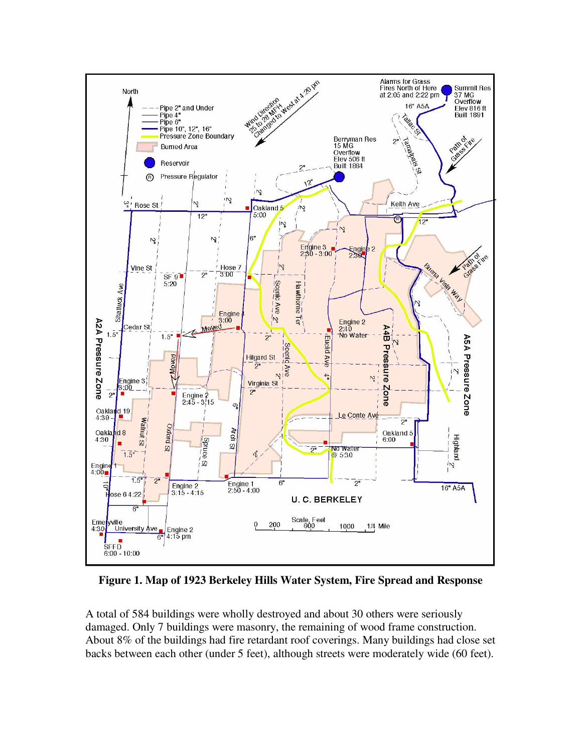

**Figure 1. Map of 1923 Berkeley Hills Water System, Fire Spread and Response** 

A total of 584 buildings were wholly destroyed and about 30 others were seriously damaged. Only 7 buildings were masonry, the remaining of wood frame construction. About 8% of the buildings had fire retardant roof coverings. Many buildings had close set backs between each other (under 5 feet), although streets were moderately wide (60 feet).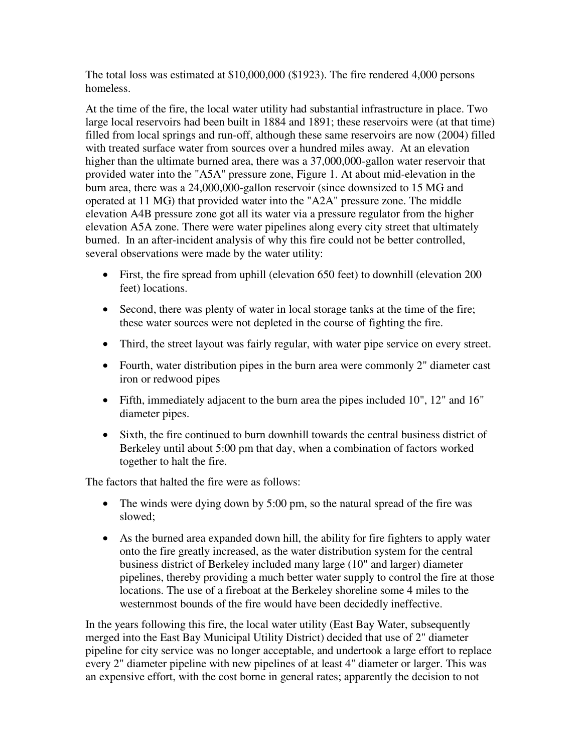The total loss was estimated at \$10,000,000 (\$1923). The fire rendered 4,000 persons homeless.

At the time of the fire, the local water utility had substantial infrastructure in place. Two large local reservoirs had been built in 1884 and 1891; these reservoirs were (at that time) filled from local springs and run-off, although these same reservoirs are now (2004) filled with treated surface water from sources over a hundred miles away. At an elevation higher than the ultimate burned area, there was a 37,000,000-gallon water reservoir that provided water into the "A5A" pressure zone, Figure 1. At about mid-elevation in the burn area, there was a 24,000,000-gallon reservoir (since downsized to 15 MG and operated at 11 MG) that provided water into the "A2A" pressure zone. The middle elevation A4B pressure zone got all its water via a pressure regulator from the higher elevation A5A zone. There were water pipelines along every city street that ultimately burned. In an after-incident analysis of why this fire could not be better controlled, several observations were made by the water utility:

- First, the fire spread from uphill (elevation 650 feet) to downhill (elevation 200 feet) locations.
- Second, there was plenty of water in local storage tanks at the time of the fire; these water sources were not depleted in the course of fighting the fire.
- Third, the street layout was fairly regular, with water pipe service on every street.
- Fourth, water distribution pipes in the burn area were commonly 2" diameter cast iron or redwood pipes
- Fifth, immediately adjacent to the burn area the pipes included 10", 12" and 16" diameter pipes.
- Sixth, the fire continued to burn downhill towards the central business district of Berkeley until about 5:00 pm that day, when a combination of factors worked together to halt the fire.

The factors that halted the fire were as follows:

- The winds were dying down by 5:00 pm, so the natural spread of the fire was slowed;
- As the burned area expanded down hill, the ability for fire fighters to apply water onto the fire greatly increased, as the water distribution system for the central business district of Berkeley included many large (10" and larger) diameter pipelines, thereby providing a much better water supply to control the fire at those locations. The use of a fireboat at the Berkeley shoreline some 4 miles to the westernmost bounds of the fire would have been decidedly ineffective.

In the years following this fire, the local water utility (East Bay Water, subsequently merged into the East Bay Municipal Utility District) decided that use of 2" diameter pipeline for city service was no longer acceptable, and undertook a large effort to replace every 2" diameter pipeline with new pipelines of at least 4" diameter or larger. This was an expensive effort, with the cost borne in general rates; apparently the decision to not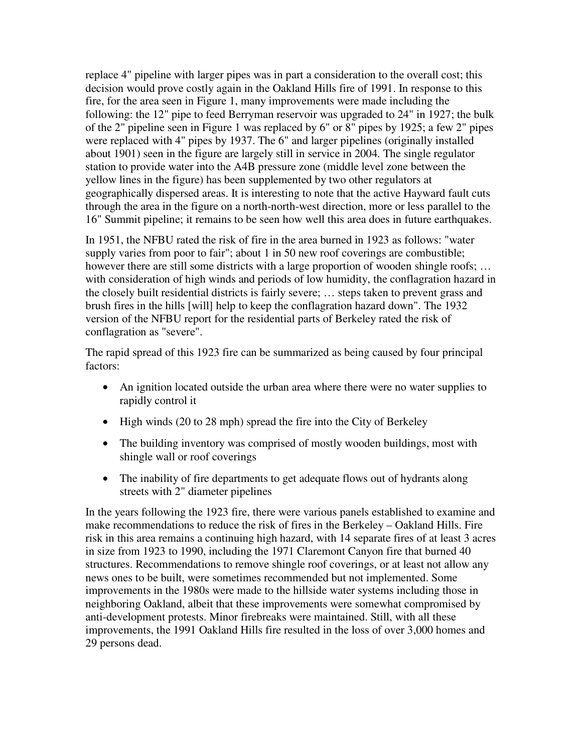replace 4" pipeline with larger pipes was in part a consideration to the overall cost; this decision would prove costly again in the Oakland Hills fire of 1991. In response to this fire, for the area seen in Figure 1, many improvements were made including the following: the 12" pipe to feed Berryman reservoir was upgraded to 24" in 1927; the bulk of the 2" pipeline seen in Figure 1 was replaced by 6" or 8" pipes by 1925; a few 2" pipes were replaced with 4" pipes by 1937. The 6" and larger pipelines (originally installed about 1901) seen in the figure are largely still in service in 2004. The single regulator station to provide water into the A4B pressure zone (middle level zone between the yellow lines in the figure) has been supplemented by two other regulators at geographically dispersed areas. It is interesting to note that the active Hayward fault cuts through the area in the figure on a north-north-west direction, more or less parallel to the 16" Summit pipeline; it remains to be seen how well this area does in future earthquakes.

In 1951, the NFBU rated the risk of fire in the area burned in 1923 as follows: "water supply varies from poor to fair"; about 1 in 50 new roof coverings are combustible; however there are still some districts with a large proportion of wooden shingle roofs; ... with consideration of high winds and periods of low humidity, the conflagration hazard in the closely built residential districts is fairly severe; … steps taken to prevent grass and brush fires in the hills [will] help to keep the conflagration hazard down". The 1932 version of the NFBU report for the residential parts of Berkeley rated the risk of conflagration as "severe".

The rapid spread of this 1923 fire can be summarized as being caused by four principal factors:

- An ignition located outside the urban area where there were no water supplies to rapidly control it
- High winds (20 to 28 mph) spread the fire into the City of Berkeley
- The building inventory was comprised of mostly wooden buildings, most with shingle wall or roof coverings
- The inability of fire departments to get adequate flows out of hydrants along streets with 2" diameter pipelines

In the years following the 1923 fire, there were various panels established to examine and make recommendations to reduce the risk of fires in the Berkeley – Oakland Hills. Fire risk in this area remains a continuing high hazard, with 14 separate fires of at least 3 acres in size from 1923 to 1990, including the 1971 Claremont Canyon fire that burned 40 structures. Recommendations to remove shingle roof coverings, or at least not allow any news ones to be built, were sometimes recommended but not implemented. Some improvements in the 1980s were made to the hillside water systems including those in neighboring Oakland, albeit that these improvements were somewhat compromised by anti-development protests. Minor firebreaks were maintained. Still, with all these improvements, the 1991 Oakland Hills fire resulted in the loss of over 3,000 homes and 29 persons dead.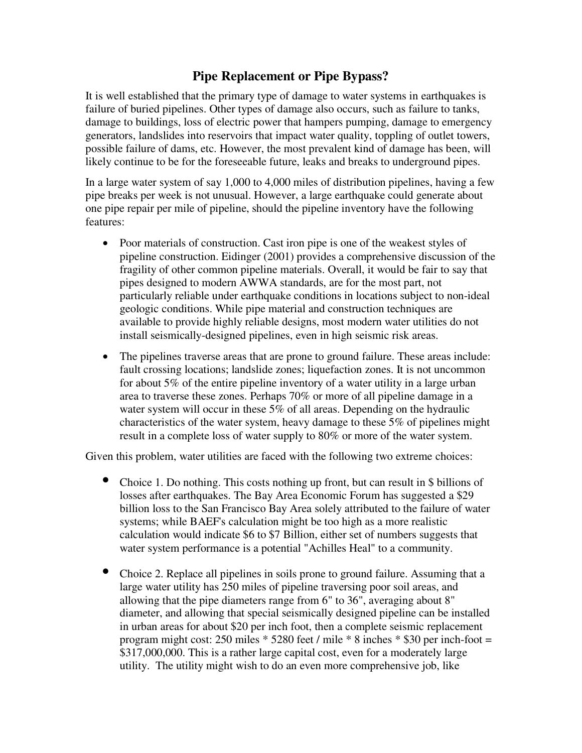### **Pipe Replacement or Pipe Bypass?**

It is well established that the primary type of damage to water systems in earthquakes is failure of buried pipelines. Other types of damage also occurs, such as failure to tanks, damage to buildings, loss of electric power that hampers pumping, damage to emergency generators, landslides into reservoirs that impact water quality, toppling of outlet towers, possible failure of dams, etc. However, the most prevalent kind of damage has been, will likely continue to be for the foreseeable future, leaks and breaks to underground pipes.

In a large water system of say 1,000 to 4,000 miles of distribution pipelines, having a few pipe breaks per week is not unusual. However, a large earthquake could generate about one pipe repair per mile of pipeline, should the pipeline inventory have the following features:

- Poor materials of construction. Cast iron pipe is one of the weakest styles of pipeline construction. Eidinger (2001) provides a comprehensive discussion of the fragility of other common pipeline materials. Overall, it would be fair to say that pipes designed to modern AWWA standards, are for the most part, not particularly reliable under earthquake conditions in locations subject to non-ideal geologic conditions. While pipe material and construction techniques are available to provide highly reliable designs, most modern water utilities do not install seismically-designed pipelines, even in high seismic risk areas.
- The pipelines traverse areas that are prone to ground failure. These areas include: fault crossing locations; landslide zones; liquefaction zones. It is not uncommon for about 5% of the entire pipeline inventory of a water utility in a large urban area to traverse these zones. Perhaps 70% or more of all pipeline damage in a water system will occur in these 5% of all areas. Depending on the hydraulic characteristics of the water system, heavy damage to these 5% of pipelines might result in a complete loss of water supply to 80% or more of the water system.

Given this problem, water utilities are faced with the following two extreme choices:

- Choice 1. Do nothing. This costs nothing up front, but can result in \$ billions of losses after earthquakes. The Bay Area Economic Forum has suggested a \$29 billion loss to the San Francisco Bay Area solely attributed to the failure of water systems; while BAEF's calculation might be too high as a more realistic calculation would indicate \$6 to \$7 Billion, either set of numbers suggests that water system performance is a potential "Achilles Heal" to a community.
- Choice 2. Replace all pipelines in soils prone to ground failure. Assuming that a large water utility has 250 miles of pipeline traversing poor soil areas, and allowing that the pipe diameters range from 6" to 36", averaging about 8" diameter, and allowing that special seismically designed pipeline can be installed in urban areas for about \$20 per inch foot, then a complete seismic replacement program might cost: 250 miles  $*$  5280 feet / mile  $*$  8 inches  $*$  \$30 per inch-foot = \$317,000,000. This is a rather large capital cost, even for a moderately large utility. The utility might wish to do an even more comprehensive job, like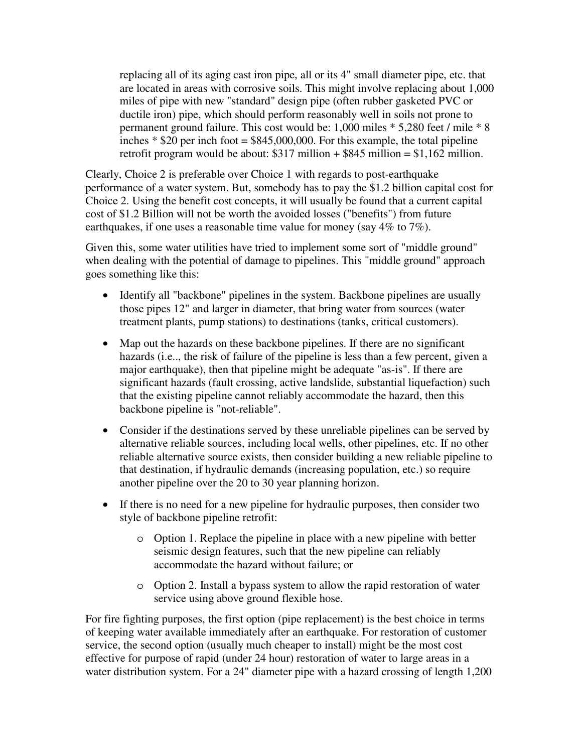replacing all of its aging cast iron pipe, all or its 4" small diameter pipe, etc. that are located in areas with corrosive soils. This might involve replacing about 1,000 miles of pipe with new "standard" design pipe (often rubber gasketed PVC or ductile iron) pipe, which should perform reasonably well in soils not prone to permanent ground failure. This cost would be: 1,000 miles \* 5,280 feet / mile \* 8 inches  $*$  \$20 per inch foot = \$845,000,000. For this example, the total pipeline retrofit program would be about:  $$317$  million  $+$  \$845 million = \$1,162 million.

Clearly, Choice 2 is preferable over Choice 1 with regards to post-earthquake performance of a water system. But, somebody has to pay the \$1.2 billion capital cost for Choice 2. Using the benefit cost concepts, it will usually be found that a current capital cost of \$1.2 Billion will not be worth the avoided losses ("benefits") from future earthquakes, if one uses a reasonable time value for money (say 4\% to 7\%).

Given this, some water utilities have tried to implement some sort of "middle ground" when dealing with the potential of damage to pipelines. This "middle ground" approach goes something like this:

- Identify all "backbone" pipelines in the system. Backbone pipelines are usually those pipes 12" and larger in diameter, that bring water from sources (water treatment plants, pump stations) to destinations (tanks, critical customers).
- Map out the hazards on these backbone pipelines. If there are no significant hazards (i.e.., the risk of failure of the pipeline is less than a few percent, given a major earthquake), then that pipeline might be adequate "as-is". If there are significant hazards (fault crossing, active landslide, substantial liquefaction) such that the existing pipeline cannot reliably accommodate the hazard, then this backbone pipeline is "not-reliable".
- Consider if the destinations served by these unreliable pipelines can be served by alternative reliable sources, including local wells, other pipelines, etc. If no other reliable alternative source exists, then consider building a new reliable pipeline to that destination, if hydraulic demands (increasing population, etc.) so require another pipeline over the 20 to 30 year planning horizon.
- If there is no need for a new pipeline for hydraulic purposes, then consider two style of backbone pipeline retrofit:
	- o Option 1. Replace the pipeline in place with a new pipeline with better seismic design features, such that the new pipeline can reliably accommodate the hazard without failure; or
	- o Option 2. Install a bypass system to allow the rapid restoration of water service using above ground flexible hose.

For fire fighting purposes, the first option (pipe replacement) is the best choice in terms of keeping water available immediately after an earthquake. For restoration of customer service, the second option (usually much cheaper to install) might be the most cost effective for purpose of rapid (under 24 hour) restoration of water to large areas in a water distribution system. For a 24" diameter pipe with a hazard crossing of length 1,200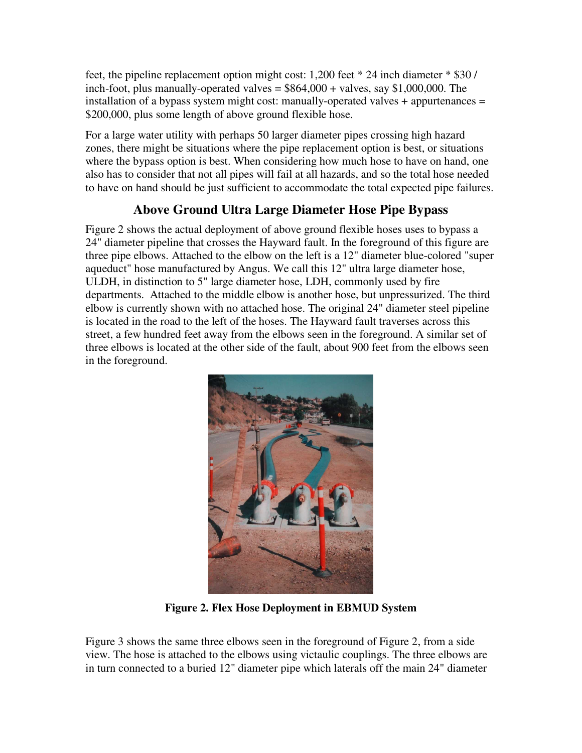feet, the pipeline replacement option might cost: 1,200 feet \* 24 inch diameter \* \$30 / inch-foot, plus manually-operated valves  $=$  \$864,000 + valves, say \$1,000,000. The installation of a bypass system might cost: manually-operated valves + appurtenances = \$200,000, plus some length of above ground flexible hose.

For a large water utility with perhaps 50 larger diameter pipes crossing high hazard zones, there might be situations where the pipe replacement option is best, or situations where the bypass option is best. When considering how much hose to have on hand, one also has to consider that not all pipes will fail at all hazards, and so the total hose needed to have on hand should be just sufficient to accommodate the total expected pipe failures.

# **Above Ground Ultra Large Diameter Hose Pipe Bypass**

Figure 2 shows the actual deployment of above ground flexible hoses uses to bypass a 24" diameter pipeline that crosses the Hayward fault. In the foreground of this figure are three pipe elbows. Attached to the elbow on the left is a 12" diameter blue-colored "super aqueduct" hose manufactured by Angus. We call this 12" ultra large diameter hose, ULDH, in distinction to 5" large diameter hose, LDH, commonly used by fire departments. Attached to the middle elbow is another hose, but unpressurized. The third elbow is currently shown with no attached hose. The original 24" diameter steel pipeline is located in the road to the left of the hoses. The Hayward fault traverses across this street, a few hundred feet away from the elbows seen in the foreground. A similar set of three elbows is located at the other side of the fault, about 900 feet from the elbows seen in the foreground.



**Figure 2. Flex Hose Deployment in EBMUD System** 

Figure 3 shows the same three elbows seen in the foreground of Figure 2, from a side view. The hose is attached to the elbows using victaulic couplings. The three elbows are in turn connected to a buried 12" diameter pipe which laterals off the main 24" diameter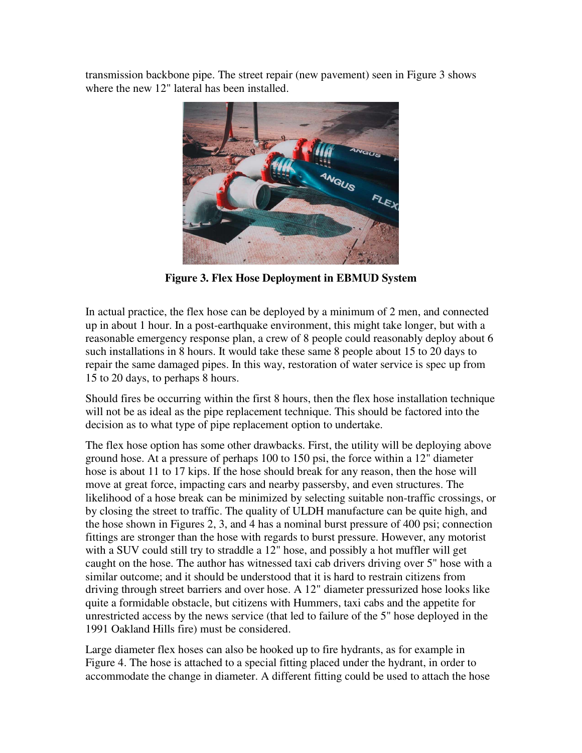transmission backbone pipe. The street repair (new pavement) seen in Figure 3 shows where the new 12" lateral has been installed.



**Figure 3. Flex Hose Deployment in EBMUD System** 

In actual practice, the flex hose can be deployed by a minimum of 2 men, and connected up in about 1 hour. In a post-earthquake environment, this might take longer, but with a reasonable emergency response plan, a crew of 8 people could reasonably deploy about 6 such installations in 8 hours. It would take these same 8 people about 15 to 20 days to repair the same damaged pipes. In this way, restoration of water service is spec up from 15 to 20 days, to perhaps 8 hours.

Should fires be occurring within the first 8 hours, then the flex hose installation technique will not be as ideal as the pipe replacement technique. This should be factored into the decision as to what type of pipe replacement option to undertake.

The flex hose option has some other drawbacks. First, the utility will be deploying above ground hose. At a pressure of perhaps 100 to 150 psi, the force within a 12" diameter hose is about 11 to 17 kips. If the hose should break for any reason, then the hose will move at great force, impacting cars and nearby passersby, and even structures. The likelihood of a hose break can be minimized by selecting suitable non-traffic crossings, or by closing the street to traffic. The quality of ULDH manufacture can be quite high, and the hose shown in Figures 2, 3, and 4 has a nominal burst pressure of 400 psi; connection fittings are stronger than the hose with regards to burst pressure. However, any motorist with a SUV could still try to straddle a 12" hose, and possibly a hot muffler will get caught on the hose. The author has witnessed taxi cab drivers driving over 5" hose with a similar outcome; and it should be understood that it is hard to restrain citizens from driving through street barriers and over hose. A 12" diameter pressurized hose looks like quite a formidable obstacle, but citizens with Hummers, taxi cabs and the appetite for unrestricted access by the news service (that led to failure of the 5" hose deployed in the 1991 Oakland Hills fire) must be considered.

Large diameter flex hoses can also be hooked up to fire hydrants, as for example in Figure 4. The hose is attached to a special fitting placed under the hydrant, in order to accommodate the change in diameter. A different fitting could be used to attach the hose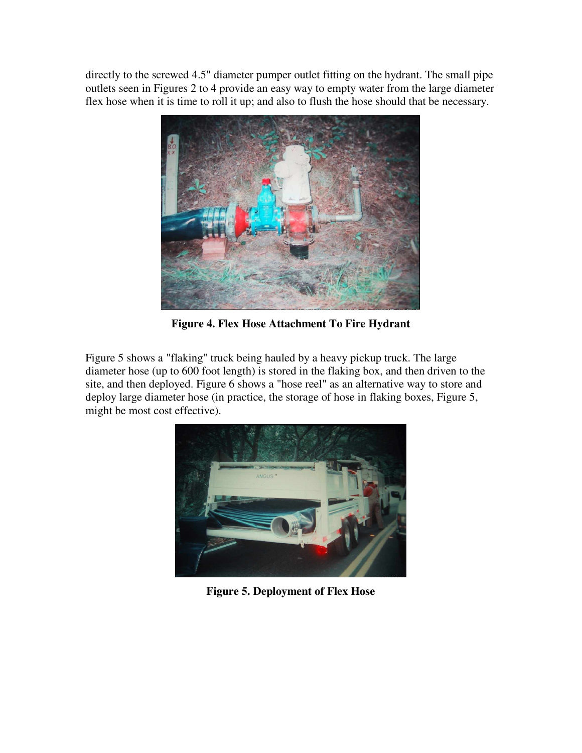directly to the screwed 4.5" diameter pumper outlet fitting on the hydrant. The small pipe outlets seen in Figures 2 to 4 provide an easy way to empty water from the large diameter flex hose when it is time to roll it up; and also to flush the hose should that be necessary.



**Figure 4. Flex Hose Attachment To Fire Hydrant** 

Figure 5 shows a "flaking" truck being hauled by a heavy pickup truck. The large diameter hose (up to 600 foot length) is stored in the flaking box, and then driven to the site, and then deployed. Figure 6 shows a "hose reel" as an alternative way to store and deploy large diameter hose (in practice, the storage of hose in flaking boxes, Figure 5, might be most cost effective).



**Figure 5. Deployment of Flex Hose**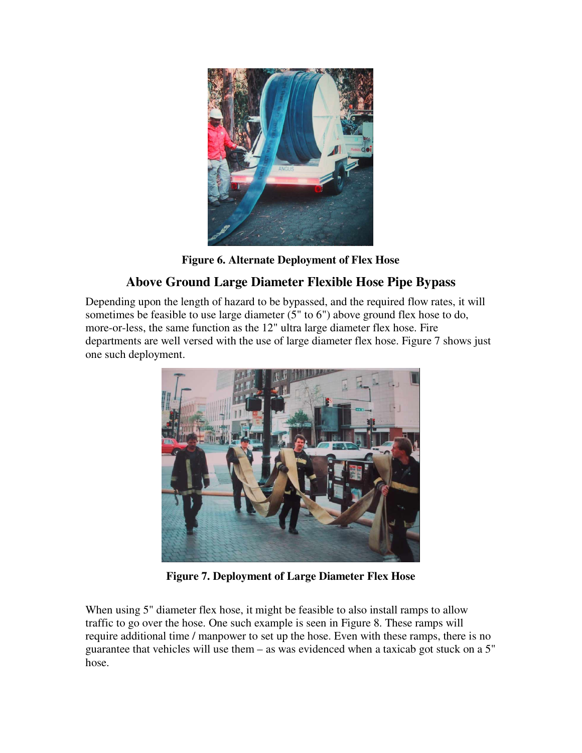

**Figure 6. Alternate Deployment of Flex Hose** 

# **Above Ground Large Diameter Flexible Hose Pipe Bypass**

Depending upon the length of hazard to be bypassed, and the required flow rates, it will sometimes be feasible to use large diameter (5" to 6") above ground flex hose to do, more-or-less, the same function as the 12" ultra large diameter flex hose. Fire departments are well versed with the use of large diameter flex hose. Figure 7 shows just one such deployment.



**Figure 7. Deployment of Large Diameter Flex Hose** 

When using 5" diameter flex hose, it might be feasible to also install ramps to allow traffic to go over the hose. One such example is seen in Figure 8. These ramps will require additional time / manpower to set up the hose. Even with these ramps, there is no guarantee that vehicles will use them – as was evidenced when a taxicab got stuck on a 5" hose.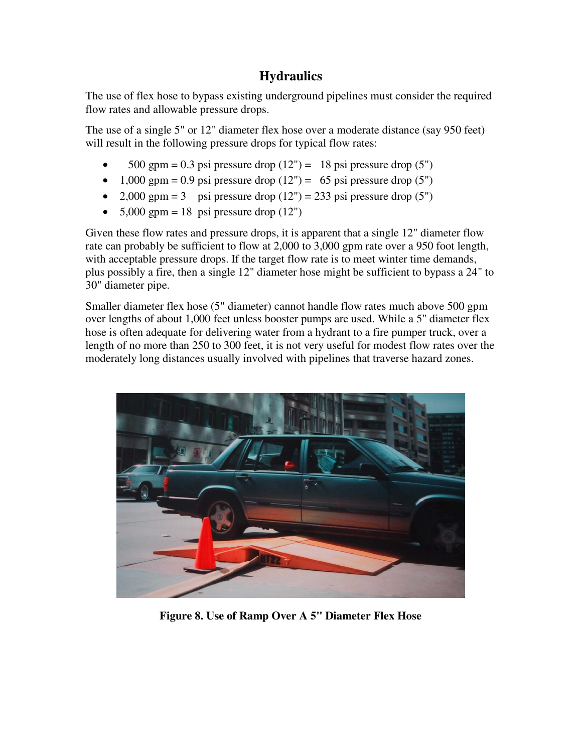### **Hydraulics**

The use of flex hose to bypass existing underground pipelines must consider the required flow rates and allowable pressure drops.

The use of a single 5" or 12" diameter flex hose over a moderate distance (say 950 feet) will result in the following pressure drops for typical flow rates:

- 500 gpm = 0.3 psi pressure drop  $(12") = 18$  psi pressure drop  $(5")$
- 1,000 gpm = 0.9 psi pressure drop  $(12") = 65$  psi pressure drop  $(5")$
- 2,000 gpm = 3 psi pressure drop  $(12")$  = 233 psi pressure drop  $(5")$
- $5,000$  gpm = 18 psi pressure drop (12")

Given these flow rates and pressure drops, it is apparent that a single 12" diameter flow rate can probably be sufficient to flow at 2,000 to 3,000 gpm rate over a 950 foot length, with acceptable pressure drops. If the target flow rate is to meet winter time demands, plus possibly a fire, then a single 12" diameter hose might be sufficient to bypass a 24" to 30" diameter pipe.

Smaller diameter flex hose (5" diameter) cannot handle flow rates much above 500 gpm over lengths of about 1,000 feet unless booster pumps are used. While a 5" diameter flex hose is often adequate for delivering water from a hydrant to a fire pumper truck, over a length of no more than 250 to 300 feet, it is not very useful for modest flow rates over the moderately long distances usually involved with pipelines that traverse hazard zones.



**Figure 8. Use of Ramp Over A 5" Diameter Flex Hose**